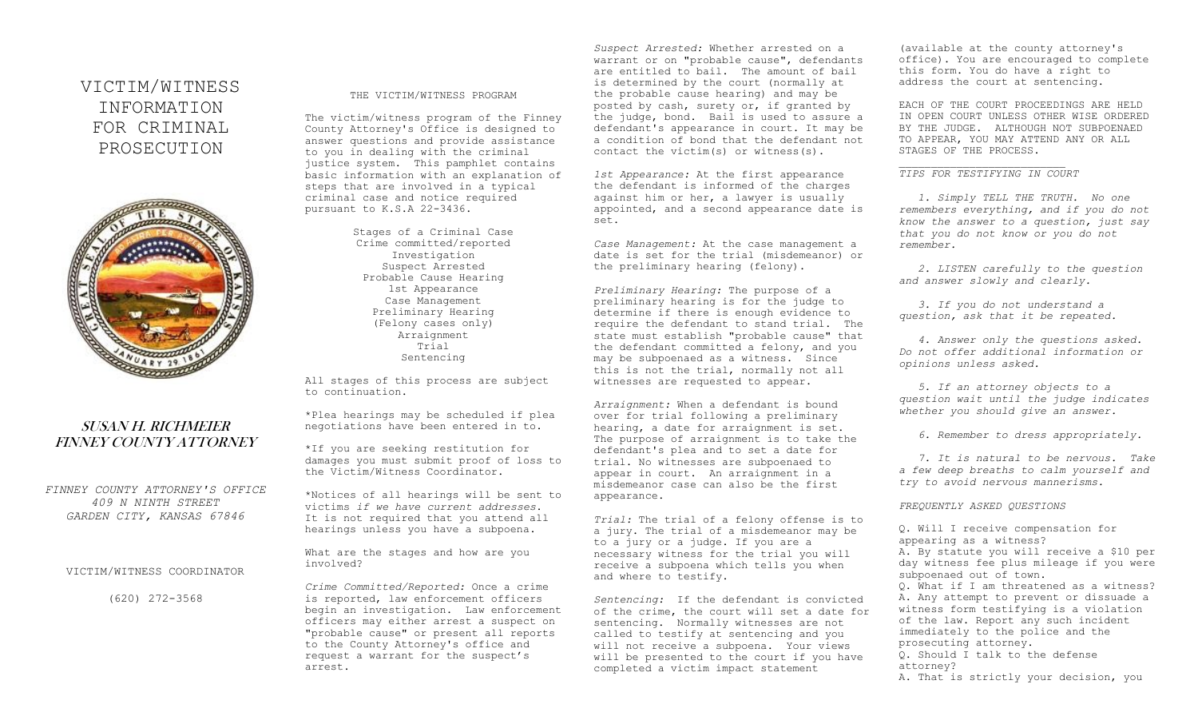# VICTIM/WITNESS INFORMATION FOR CRIMINAL PROSECUTION



# SUSAN H. RICHMEIER FINNEY COUNTY ATTORNEY

*FINNEY COUNTY ATTORNEY'S OFFICE 409 N NINTH STREET GARDEN CITY, KANSAS 67846*

# VICTIM/WITNESS COORDINATOR

(620) 272-3568

#### THE VICTIM/WITNESS PROGRAM

The victim/witness program of the Finney County Attorney's Office is designed to answer questions and provide assistance to you in dealing with the criminal justice system. This pamphlet contains basic information with an explanation of steps that are involved in a typical criminal case and notice required pursuant to K.S.A 22-3436.

> Stages of a Criminal Case Crime committed/reported Investigation Suspect Arrested Probable Cause Hearing 1st Appearance Case Management Preliminary Hearing (Felony cases only) Arraignment Trial Sentencing

All stages of this process are subject to continuation.

\*Plea hearings may be scheduled if plea negotiations have been entered in to.

\*If you are seeking restitution for damages you must submit proof of loss to the Victim/Witness Coordinator.

\*Notices of all hearings will be sent to victims *if we have current addresses*. It is not required that you attend all hearings unless you have a subpoena.

What are the stages and how are you involved?

*Crime Committed/Reported:* Once a crime is reported, law enforcement officers begin an investigation. Law enforcement officers may either arrest a suspect on "probable cause" or present all reports to the County Attorney's office and request a warrant for the suspect's arrest.

*Suspect Arrested:* Whether arrested on a warrant or on "probable cause", defendants are entitled to bail. The amount of bail is determined by the court (normally at the probable cause hearing) and may be posted by cash, surety or, if granted by the judge, bond. Bail is used to assure a defendant's appearance in court. It may be a condition of bond that the defendant not contact the victim(s) or witness(s).

*1st Appearance:* At the first appearance the defendant is informed of the charges against him or her, a lawyer is usually appointed, and a second appearance date is set.

*Case Management:* At the case management a date is set for the trial (misdemeanor) or the preliminary hearing (felony).

*Preliminary Hearing:* The purpose of a preliminary hearing is for the judge to determine if there is enough evidence to require the defendant to stand trial. The state must establish "probable cause" that the defendant committed a felony, and you may be subpoenaed as a witness. Since this is not the trial, normally not all witnesses are requested to appear.

*Arraignment:* When a defendant is bound over for trial following a preliminary hearing, a date for arraignment is set. The purpose of arraignment is to take the defendant's plea and to set a date for trial. No witnesses are subpoenaed to appear in court. An arraignment in a misdemeanor case can also be the first appearance.

*Trial:* The trial of a felony offense is to a jury. The trial of a misdemeanor may be to a jury or a judge. If you are a necessary witness for the trial you will receive a subpoena which tells you when and where to testify.

*Sentencing:* If the defendant is convicted of the crime, the court will set a date for sentencing. Normally witnesses are not called to testify at sentencing and you will not receive a subpoena. Your views will be presented to the court if you have completed a victim impact statement

(available at the county attorney's office). You are encouraged to complete this form. You do have a right to address the court at sentencing.

EACH OF THE COURT PROCEEDINGS ARE HELD IN OPEN COURT UNLESS OTHER WISE ORDERED BY THE JUDGE. ALTHOUGH NOT SUBPOENAED TO APPEAR, YOU MAY ATTEND ANY OR ALL STAGES OF THE PROCESS.

## *TIPS FOR TESTIFYING IN COURT*

 *1. Simply TELL THE TRUTH. No one remembers everything, and if you do not know the answer to a question, just say that you do not know or you do not remember.*

 *2. LISTEN carefully to the question and answer slowly and clearly.* 

 *3. If you do not understand a question, ask that it be repeated.*

 *4. Answer only the questions asked. Do not offer additional information or opinions unless asked.*

 *5. If an attorney objects to a question wait until the judge indicates whether you should give an answer.*

 *6. Remember to dress appropriately.*

 *7. It is natural to be nervous. Take a few deep breaths to calm yourself and try to avoid nervous mannerisms.*

#### *FREQUENTLY ASKED QUESTIONS*

Q. Will I receive compensation for appearing as a witness? A. By statute you will receive a \$10 per day witness fee plus mileage if you were subpoenaed out of town. Q. What if I am threatened as a witness? A. Any attempt to prevent or dissuade a witness form testifying is a violation of the law. Report any such incident immediately to the police and the prosecuting attorney. Q. Should I talk to the defense attorney? A. That is strictly your decision, you